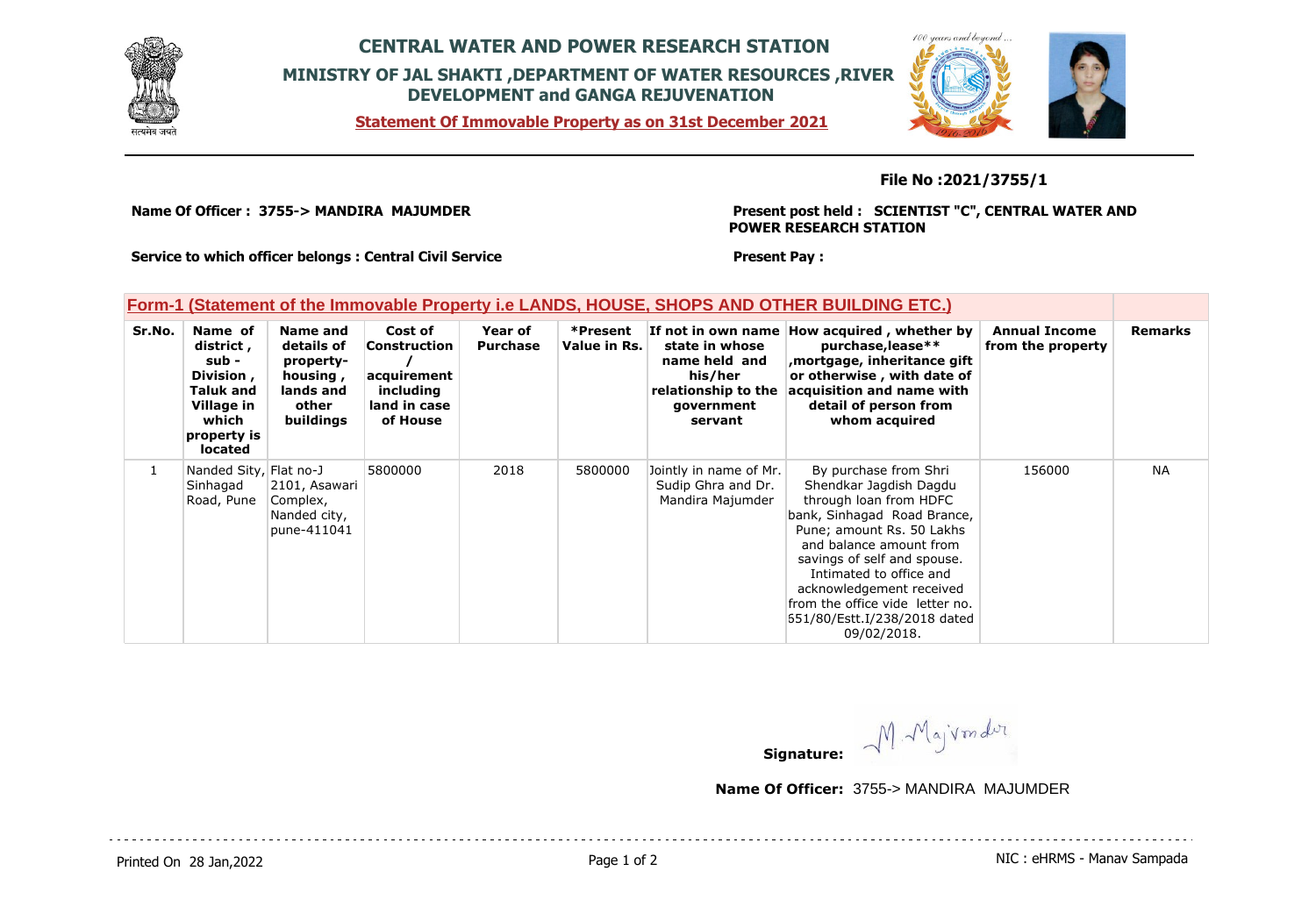

## **CENTRAL WATER AND POWER RESEARCH STATION MINISTRY OF JAL SHAKTI ,DEPARTMENT OF WATER RESOURCES ,RIVER DEVELOPMENT and GANGA REJUVENATION**

**Statement Of Immovable Property as on 31st December 2021**



**File No :2021/3755/1**

**Name Of Officer : 3755-> MANDIRA MAJUMDER** 

**Present post held : SCIENTIST "C", CENTRAL WATER AND POWER RESEARCH STATION**

**Service to which officer belongs : Central Civil Service**

**Present Pay :** 

## **Form-1 (Statement of the Immovable Property i.e LANDS, HOUSE, SHOPS AND OTHER BUILDING ETC.)**

| Sr.No. | Name of<br>district,<br>sub -<br>Division,<br><b>Taluk and</b><br>Village in<br>which<br>property is<br>located | Name and<br>details of<br>property-<br>housing,<br>lands and<br>other<br>buildings | Cost of<br>Construction<br>acquirement<br>including<br>land in case<br>of House | Year of<br><b>Purchase</b> | *Present<br>Value in Rs. | state in whose<br>name held and<br>his/her<br>relationship to the<br>government<br>servant | If not in own name How acquired, whether by<br>purchase, lease**<br>mortgage, inheritance gift,<br>or otherwise, with date of<br>acquisition and name with<br>detail of person from<br>whom acquired                                                                                                                                     | <b>Annual Income</b><br>from the property | <b>Remarks</b> |
|--------|-----------------------------------------------------------------------------------------------------------------|------------------------------------------------------------------------------------|---------------------------------------------------------------------------------|----------------------------|--------------------------|--------------------------------------------------------------------------------------------|------------------------------------------------------------------------------------------------------------------------------------------------------------------------------------------------------------------------------------------------------------------------------------------------------------------------------------------|-------------------------------------------|----------------|
|        | Nanded Sity, Flat no-J<br>Sinhagad<br>Road, Pune                                                                | 2101, Asawari<br>Complex,<br>Nanded city,<br>pune-411041                           | 5800000                                                                         | 2018                       | 5800000                  | Jointly in name of Mr.<br>Sudip Ghra and Dr.<br>Mandira Majumder                           | By purchase from Shri<br>Shendkar Jagdish Dagdu<br>through loan from HDFC<br>bank, Sinhagad Road Brance,<br>Pune; amount Rs. 50 Lakhs<br>and balance amount from<br>savings of self and spouse.<br>Intimated to office and<br>acknowledgement received<br>from the office vide letter no.<br>551/80/Estt.I/238/2018 dated<br>09/02/2018. | 156000                                    | <b>NA</b>      |

MMajvondur **Signature:**

**Name Of Officer:** 3755-> MANDIRA MAJUMDER